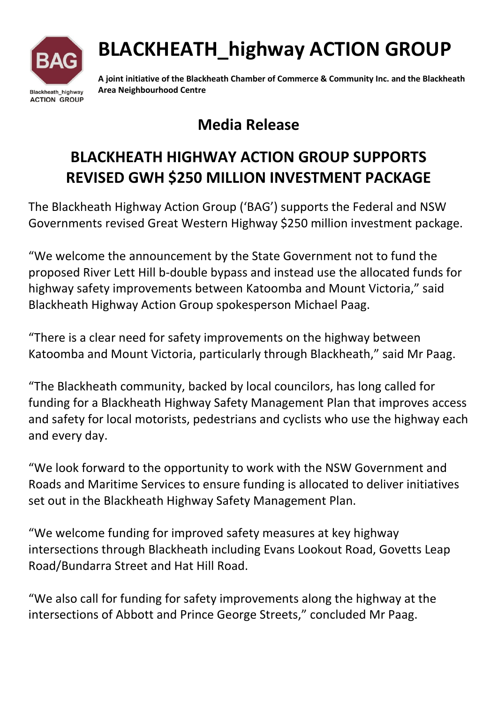

# BLACKHEATH\_highway ACTION GROUP

A joint initiative of the Blackheath Chamber of Commerce & Community Inc. and the Blackheath Area Neighbourhood Centre

### Media Release

## BLACKHEATH HIGHWAY ACTION GROUP SUPPORTS REVISED GWH \$250 MILLION INVESTMENT PACKAGE

The Blackheath Highway Action Group ('BAG') supports the Federal and NSW Governments revised Great Western Highway \$250 million investment package.

"We welcome the announcement by the State Government not to fund the proposed River Lett Hill b-double bypass and instead use the allocated funds for highway safety improvements between Katoomba and Mount Victoria," said Blackheath Highway Action Group spokesperson Michael Paag.

"There is a clear need for safety improvements on the highway between Katoomba and Mount Victoria, particularly through Blackheath," said Mr Paag.

"The Blackheath community, backed by local councilors, has long called for funding for a Blackheath Highway Safety Management Plan that improves access and safety for local motorists, pedestrians and cyclists who use the highway each and every day.

"We look forward to the opportunity to work with the NSW Government and Roads and Maritime Services to ensure funding is allocated to deliver initiatives set out in the Blackheath Highway Safety Management Plan.

"We welcome funding for improved safety measures at key highway intersections through Blackheath including Evans Lookout Road, Govetts Leap Road/Bundarra Street and Hat Hill Road.

"We also call for funding for safety improvements along the highway at the intersections of Abbott and Prince George Streets," concluded Mr Paag.